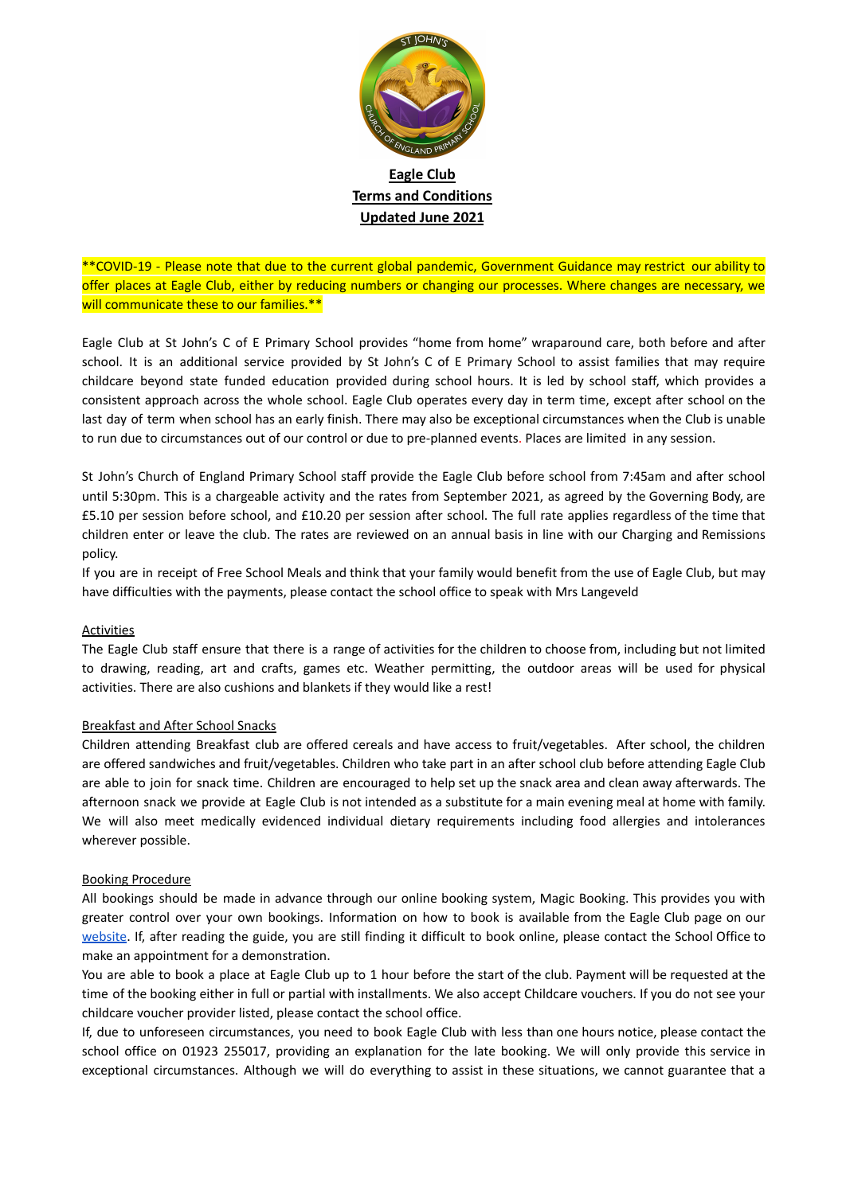

\*\*COVID-19 - Please note that due to the current global pandemic, Government Guidance may restrict our ability to offer places at Eagle Club, either by reducing numbers or changing our processes. Where changes are necessary, we will communicate these to our families.\*\*

Eagle Club at St John's C of E Primary School provides "home from home" wraparound care, both before and after school. It is an additional service provided by St John's C of E Primary School to assist families that may require childcare beyond state funded education provided during school hours. It is led by school staff, which provides a consistent approach across the whole school. Eagle Club operates every day in term time, except after school on the last day of term when school has an early finish. There may also be exceptional circumstances when the Club is unable to run due to circumstances out of our control or due to pre-planned events. Places are limited in any session.

St John's Church of England Primary School staff provide the Eagle Club before school from 7:45am and after school until 5:30pm. This is a chargeable activity and the rates from September 2021, as agreed by the Governing Body, are £5.10 per session before school, and £10.20 per session after school. The full rate applies regardless of the time that children enter or leave the club. The rates are reviewed on an annual basis in line with our Charging and Remissions policy.

If you are in receipt of Free School Meals and think that your family would benefit from the use of Eagle Club, but may have difficulties with the payments, please contact the school office to speak with Mrs Langeveld

#### **Activities**

The Eagle Club staff ensure that there is a range of activities for the children to choose from, including but not limited to drawing, reading, art and crafts, games etc. Weather permitting, the outdoor areas will be used for physical activities. There are also cushions and blankets if they would like a rest!

#### Breakfast and After School Snacks

Children attending Breakfast club are offered cereals and have access to fruit/vegetables. After school, the children are offered sandwiches and fruit/vegetables. Children who take part in an after school club before attending Eagle Club are able to join for snack time. Children are encouraged to help set up the snack area and clean away afterwards. The afternoon snack we provide at Eagle Club is not intended as a substitute for a main evening meal at home with family. We will also meet medically evidenced individual dietary requirements including food allergies and intolerances wherever possible.

#### Booking Procedure

All bookings should be made in advance through our online booking system, Magic Booking. This provides you with greater control over your own bookings. Information on how to book is available from the Eagle Club page on our [website](http://watfordstjohns.org/info-for-parents/eagle-club/). If, after reading the guide, you are still finding it difficult to book online, please contact the School Office to make an appointment for a demonstration.

You are able to book a place at Eagle Club up to 1 hour before the start of the club. Payment will be requested at the time of the booking either in full or partial with installments. We also accept Childcare vouchers. If you do not see your childcare voucher provider listed, please contact the school office.

If, due to unforeseen circumstances, you need to book Eagle Club with less than one hours notice, please contact the school office on 01923 255017, providing an explanation for the late booking. We will only provide this service in exceptional circumstances. Although we will do everything to assist in these situations, we cannot guarantee that a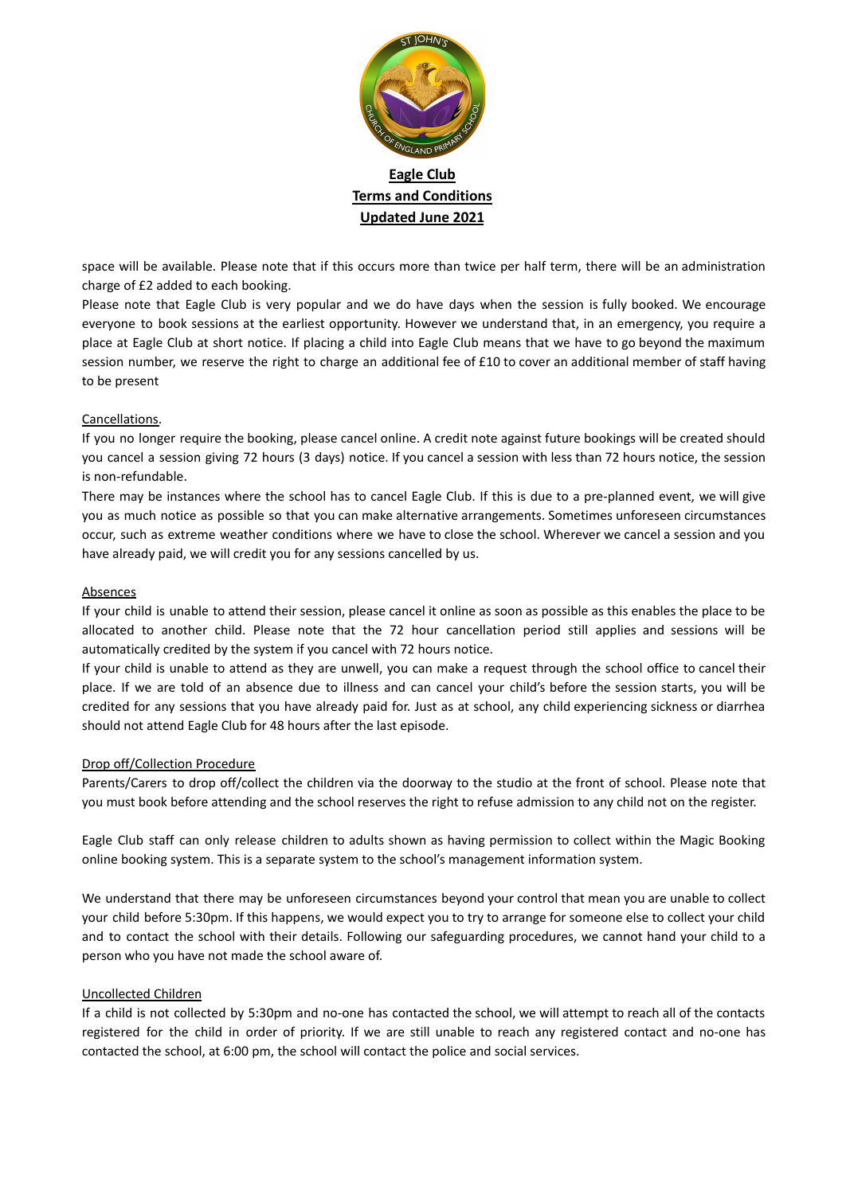

space will be available. Please note that if this occurs more than twice per half term, there will be an administration charge of £2 added to each booking.

Please note that Eagle Club is very popular and we do have days when the session is fully booked. We encourage everyone to book sessions at the earliest opportunity. However we understand that, in an emergency, you require a place at Eagle Club at short notice. If placing a child into Eagle Club means that we have to go beyond the maximum session number, we reserve the right to charge an additional fee of £10 to cover an additional member of staff having to be present

### Cancellations.

If you no longer require the booking, please cancel online. A credit note against future bookings will be created should you cancel a session giving 72 hours (3 days) notice. If you cancel a session with less than 72 hours notice, the session is non-refundable.

There may be instances where the school has to cancel Eagle Club. If this is due to a pre-planned event, we will give you as much notice as possible so that you can make alternative arrangements. Sometimes unforeseen circumstances occur, such as extreme weather conditions where we have to close the school. Wherever we cancel a session and you have already paid, we will credit you for any sessions cancelled by us.

#### Absences

If your child is unable to attend their session, please cancel it online as soon as possible as this enables the place to be allocated to another child. Please note that the 72 hour cancellation period still applies and sessions will be automatically credited by the system if you cancel with 72 hours notice.

If your child is unable to attend as they are unwell, you can make a request through the school office to cancel their place. If we are told of an absence due to illness and can cancel your child's before the session starts, you will be credited for any sessions that you have already paid for. Just as at school, any child experiencing sickness or diarrhea should not attend Eagle Club for 48 hours after the last episode.

### Drop off/Collection Procedure

Parents/Carers to drop off/collect the children via the doorway to the studio at the front of school. Please note that you must book before attending and the school reserves the right to refuse admission to any child not on the register.

Eagle Club staff can only release children to adults shown as having permission to collect within the Magic Booking online booking system. This is a separate system to the school's management information system.

We understand that there may be unforeseen circumstances beyond your control that mean you are unable to collect your child before 5:30pm. If this happens, we would expect you to try to arrange for someone else to collect your child and to contact the school with their details. Following our safeguarding procedures, we cannot hand your child to a person who you have not made the school aware of.

### Uncollected Children

If a child is not collected by 5:30pm and no-one has contacted the school, we will attempt to reach all of the contacts registered for the child in order of priority. If we are still unable to reach any registered contact and no-one has contacted the school, at 6:00 pm, the school will contact the police and social services.